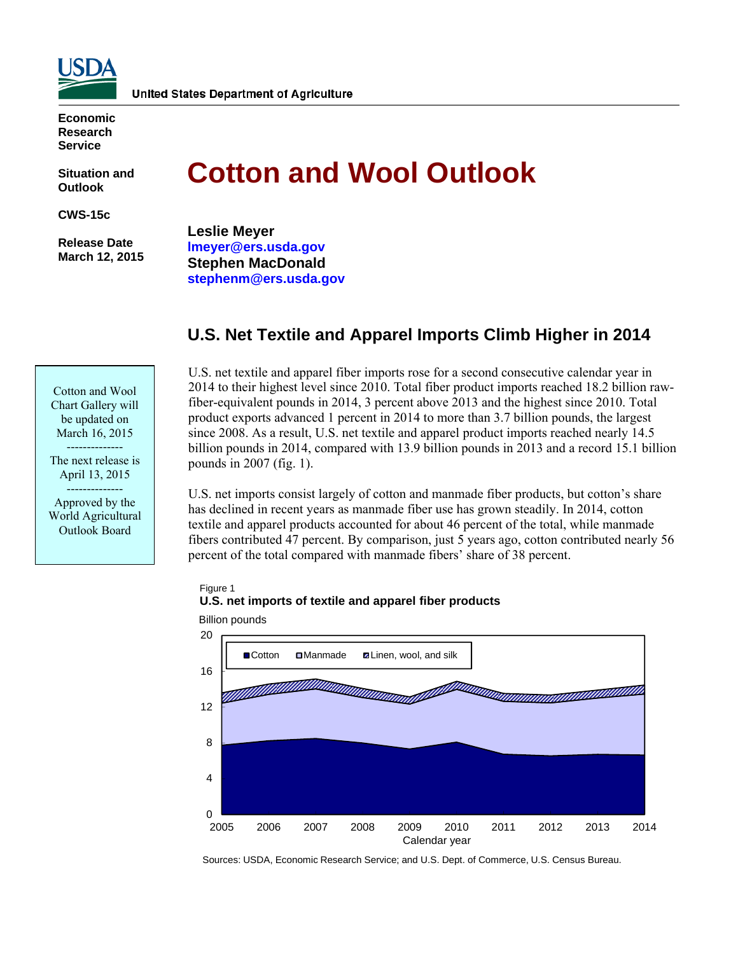

**Economic Research Service** 

**Situation and Outlook** 

**CWS-15c** 

 **Release Date March 12, 2015** 

Cotton and Wool Chart Gallery will be updated on March 16, 2015 -------------- The next release is April 13, 2015 -------------- Approved by the World Agricultural Outlook Board

# **Cotton and Wool Outlook**

**Leslie Meyer lmeyer@ers.usda.gov Stephen MacDonald stephenm@ers.usda.gov** 

# **U.S. Net Textile and Apparel Imports Climb Higher in 2014**

U.S. net textile and apparel fiber imports rose for a second consecutive calendar year in 2014 to their highest level since 2010. Total fiber product imports reached 18.2 billion rawfiber-equivalent pounds in 2014, 3 percent above 2013 and the highest since 2010. Total product exports advanced 1 percent in 2014 to more than 3.7 billion pounds, the largest since 2008. As a result, U.S. net textile and apparel product imports reached nearly 14.5 billion pounds in 2014, compared with 13.9 billion pounds in 2013 and a record 15.1 billion pounds in 2007 (fig. 1).

U.S. net imports consist largely of cotton and manmade fiber products, but cotton's share has declined in recent years as manmade fiber use has grown steadily. In 2014, cotton textile and apparel products accounted for about 46 percent of the total, while manmade fibers contributed 47 percent. By comparison, just 5 years ago, cotton contributed nearly 56 percent of the total compared with manmade fibers' share of 38 percent.

#### Figure 1 **U.S. net imports of textile and apparel fiber products**



Billion pounds

Sources: USDA, Economic Research Service; and U.S. Dept. of Commerce, U.S. Census Bureau.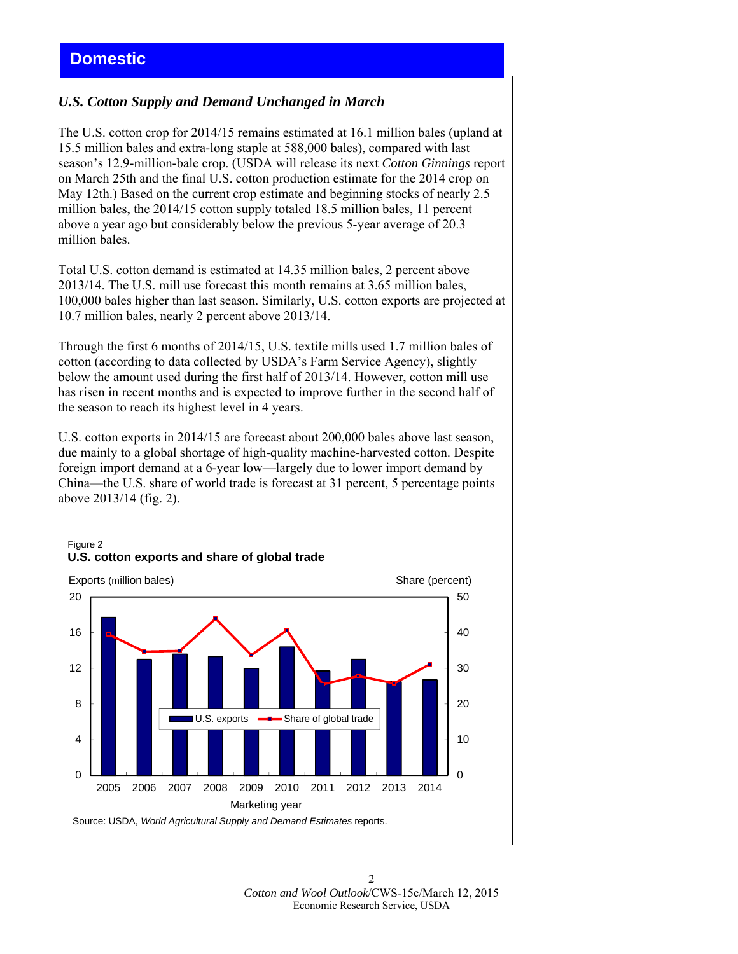# **Domestic**

## *U.S. Cotton Supply and Demand Unchanged in March*

The U.S. cotton crop for 2014/15 remains estimated at 16.1 million bales (upland at 15.5 million bales and extra-long staple at 588,000 bales), compared with last season's 12.9-million-bale crop. (USDA will release its next *Cotton Ginnings* report on March 25th and the final U.S. cotton production estimate for the 2014 crop on May 12th.) Based on the current crop estimate and beginning stocks of nearly 2.5 million bales, the 2014/15 cotton supply totaled 18.5 million bales, 11 percent above a year ago but considerably below the previous 5-year average of 20.3 million bales.

Total U.S. cotton demand is estimated at 14.35 million bales, 2 percent above 2013/14. The U.S. mill use forecast this month remains at 3.65 million bales, 100,000 bales higher than last season. Similarly, U.S. cotton exports are projected at 10.7 million bales, nearly 2 percent above 2013/14.

Through the first 6 months of 2014/15, U.S. textile mills used 1.7 million bales of cotton (according to data collected by USDA's Farm Service Agency), slightly below the amount used during the first half of 2013/14. However, cotton mill use has risen in recent months and is expected to improve further in the second half of the season to reach its highest level in 4 years.

U.S. cotton exports in 2014/15 are forecast about 200,000 bales above last season, due mainly to a global shortage of high-quality machine-harvested cotton. Despite foreign import demand at a 6-year low—largely due to lower import demand by China—the U.S. share of world trade is forecast at 31 percent, 5 percentage points above 2013/14 (fig. 2).



### Figure 2 **U.S. cotton exports and share of global trade**

Source: USDA, *World Agricultural Supply and Demand Estimates* reports.

 $\mathfrak{D}$ *Cotton and Wool Outlook*/CWS-15c/March 12, 2015 Economic Research Service, USDA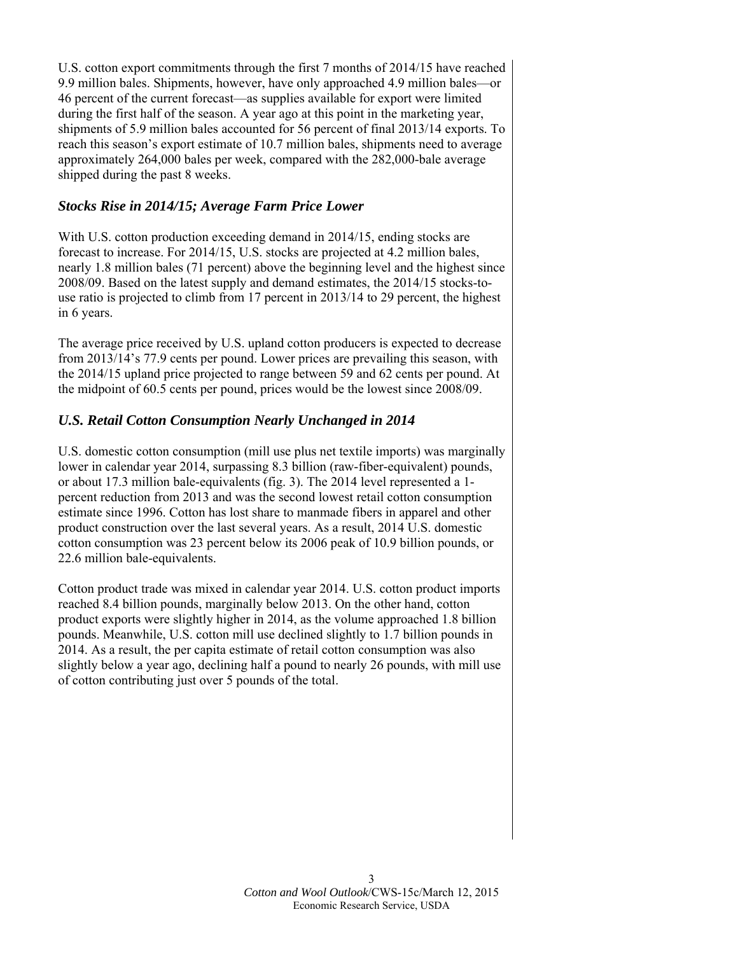U.S. cotton export commitments through the first 7 months of 2014/15 have reached 9.9 million bales. Shipments, however, have only approached 4.9 million bales—or 46 percent of the current forecast—as supplies available for export were limited during the first half of the season. A year ago at this point in the marketing year, shipments of 5.9 million bales accounted for 56 percent of final 2013/14 exports. To reach this season's export estimate of 10.7 million bales, shipments need to average approximately 264,000 bales per week, compared with the 282,000-bale average shipped during the past 8 weeks.

## *Stocks Rise in 2014/15; Average Farm Price Lower*

With U.S. cotton production exceeding demand in 2014/15, ending stocks are forecast to increase. For 2014/15, U.S. stocks are projected at 4.2 million bales, nearly 1.8 million bales (71 percent) above the beginning level and the highest since 2008/09. Based on the latest supply and demand estimates, the 2014/15 stocks-touse ratio is projected to climb from 17 percent in 2013/14 to 29 percent, the highest in 6 years.

The average price received by U.S. upland cotton producers is expected to decrease from 2013/14's 77.9 cents per pound. Lower prices are prevailing this season, with the 2014/15 upland price projected to range between 59 and 62 cents per pound. At the midpoint of 60.5 cents per pound, prices would be the lowest since 2008/09.

## *U.S. Retail Cotton Consumption Nearly Unchanged in 2014*

U.S. domestic cotton consumption (mill use plus net textile imports) was marginally lower in calendar year 2014, surpassing 8.3 billion (raw-fiber-equivalent) pounds, or about 17.3 million bale-equivalents (fig. 3). The 2014 level represented a 1 percent reduction from 2013 and was the second lowest retail cotton consumption estimate since 1996. Cotton has lost share to manmade fibers in apparel and other product construction over the last several years. As a result, 2014 U.S. domestic cotton consumption was 23 percent below its 2006 peak of 10.9 billion pounds, or 22.6 million bale-equivalents.

Cotton product trade was mixed in calendar year 2014. U.S. cotton product imports reached 8.4 billion pounds, marginally below 2013. On the other hand, cotton product exports were slightly higher in 2014, as the volume approached 1.8 billion pounds. Meanwhile, U.S. cotton mill use declined slightly to 1.7 billion pounds in 2014. As a result, the per capita estimate of retail cotton consumption was also slightly below a year ago, declining half a pound to nearly 26 pounds, with mill use of cotton contributing just over 5 pounds of the total.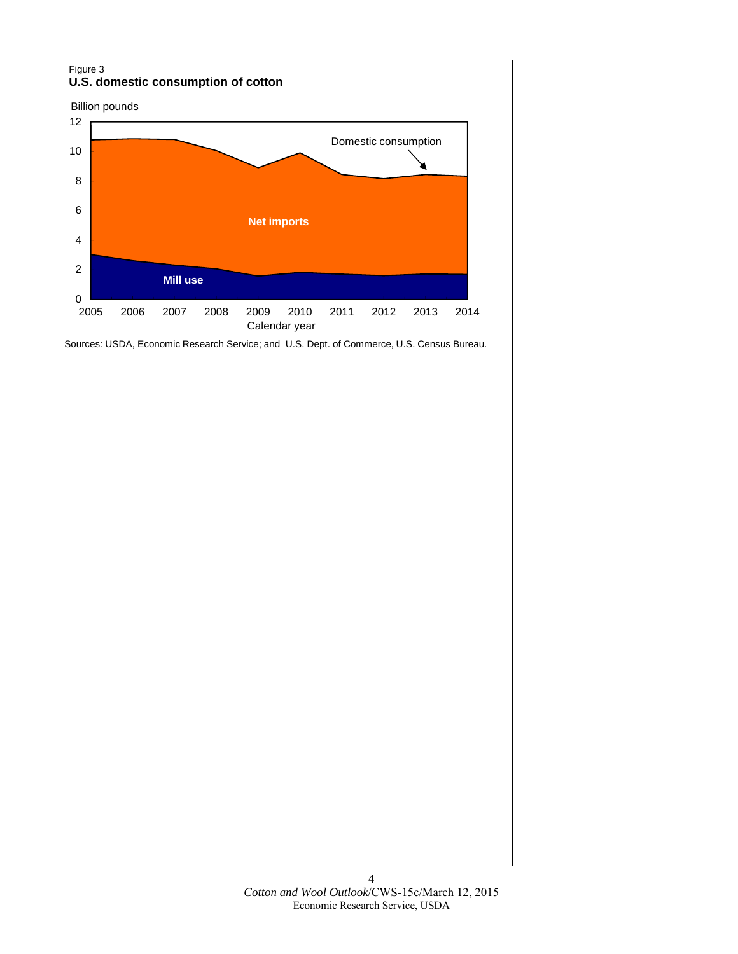#### Figure 3 **U.S. domestic consumption of cotton**

Billion pounds



Sources: USDA, Economic Research Service; and U.S. Dept. of Commerce, U.S. Census Bureau.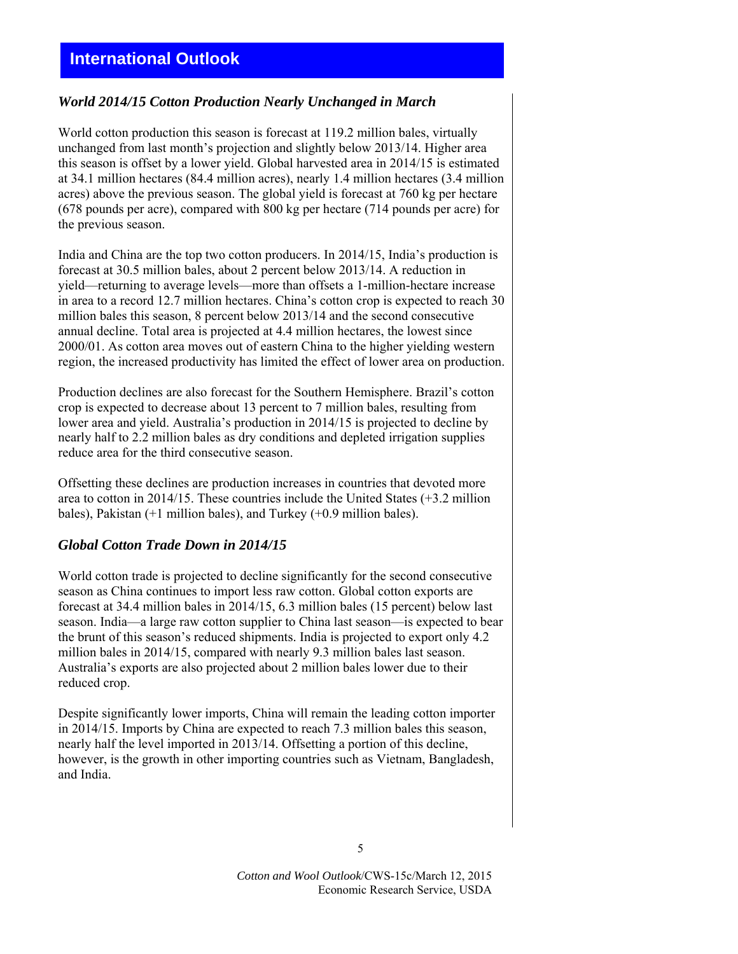# **International Outlook**

### *World 2014/15 Cotton Production Nearly Unchanged in March*

World cotton production this season is forecast at 119.2 million bales, virtually unchanged from last month's projection and slightly below 2013/14. Higher area this season is offset by a lower yield. Global harvested area in 2014/15 is estimated at 34.1 million hectares (84.4 million acres), nearly 1.4 million hectares (3.4 million acres) above the previous season. The global yield is forecast at 760 kg per hectare (678 pounds per acre), compared with 800 kg per hectare (714 pounds per acre) for the previous season.

India and China are the top two cotton producers. In 2014/15, India's production is forecast at 30.5 million bales, about 2 percent below 2013/14. A reduction in yield—returning to average levels—more than offsets a 1-million-hectare increase in area to a record 12.7 million hectares. China's cotton crop is expected to reach 30 million bales this season, 8 percent below 2013/14 and the second consecutive annual decline. Total area is projected at 4.4 million hectares, the lowest since 2000/01. As cotton area moves out of eastern China to the higher yielding western region, the increased productivity has limited the effect of lower area on production.

Production declines are also forecast for the Southern Hemisphere. Brazil's cotton crop is expected to decrease about 13 percent to 7 million bales, resulting from lower area and yield. Australia's production in 2014/15 is projected to decline by nearly half to 2.2 million bales as dry conditions and depleted irrigation supplies reduce area for the third consecutive season.

Offsetting these declines are production increases in countries that devoted more area to cotton in 2014/15. These countries include the United States (+3.2 million bales), Pakistan (+1 million bales), and Turkey (+0.9 million bales).

## *Global Cotton Trade Down in 2014/15*

World cotton trade is projected to decline significantly for the second consecutive season as China continues to import less raw cotton. Global cotton exports are forecast at 34.4 million bales in 2014/15, 6.3 million bales (15 percent) below last season. India—a large raw cotton supplier to China last season—is expected to bear the brunt of this season's reduced shipments. India is projected to export only 4.2 million bales in 2014/15, compared with nearly 9.3 million bales last season. Australia's exports are also projected about 2 million bales lower due to their reduced crop.

Despite significantly lower imports, China will remain the leading cotton importer in 2014/15. Imports by China are expected to reach 7.3 million bales this season, nearly half the level imported in 2013/14. Offsetting a portion of this decline, however, is the growth in other importing countries such as Vietnam, Bangladesh, and India.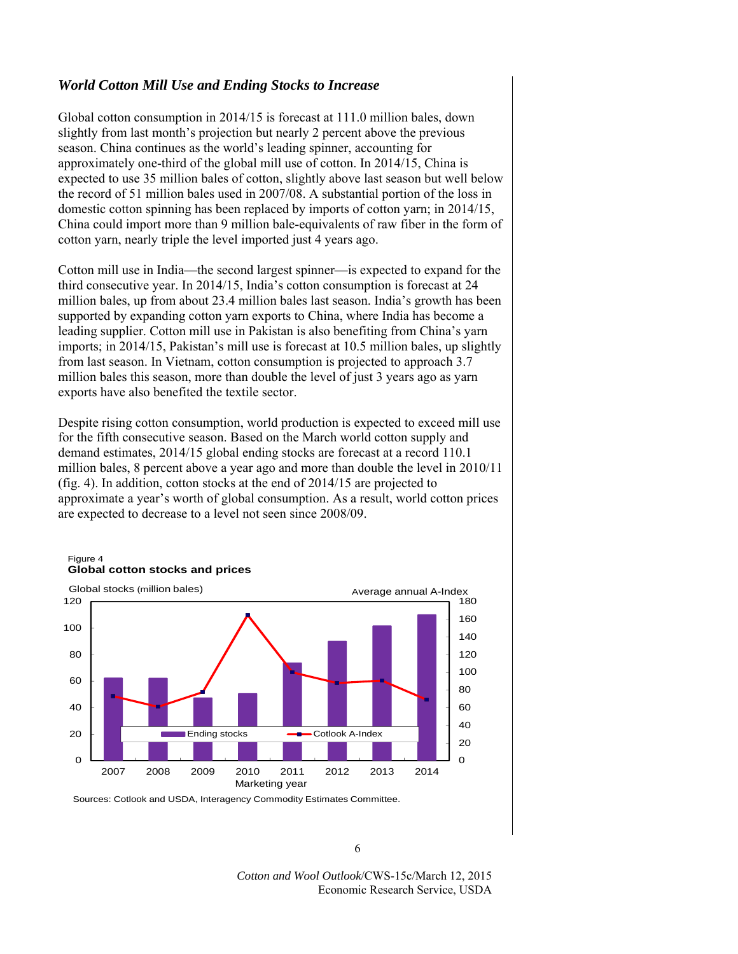#### *World Cotton Mill Use and Ending Stocks to Increase*

Global cotton consumption in 2014/15 is forecast at 111.0 million bales, down slightly from last month's projection but nearly 2 percent above the previous season. China continues as the world's leading spinner, accounting for approximately one-third of the global mill use of cotton. In 2014/15, China is expected to use 35 million bales of cotton, slightly above last season but well below the record of 51 million bales used in 2007/08. A substantial portion of the loss in domestic cotton spinning has been replaced by imports of cotton yarn; in 2014/15, China could import more than 9 million bale-equivalents of raw fiber in the form of cotton yarn, nearly triple the level imported just 4 years ago.

Cotton mill use in India—the second largest spinner—is expected to expand for the third consecutive year. In 2014/15, India's cotton consumption is forecast at 24 million bales, up from about 23.4 million bales last season. India's growth has been supported by expanding cotton yarn exports to China, where India has become a leading supplier. Cotton mill use in Pakistan is also benefiting from China's yarn imports; in 2014/15, Pakistan's mill use is forecast at 10.5 million bales, up slightly from last season. In Vietnam, cotton consumption is projected to approach 3.7 million bales this season, more than double the level of just 3 years ago as yarn exports have also benefited the textile sector.

Despite rising cotton consumption, world production is expected to exceed mill use for the fifth consecutive season. Based on the March world cotton supply and demand estimates, 2014/15 global ending stocks are forecast at a record 110.1 million bales, 8 percent above a year ago and more than double the level in 2010/11 (fig. 4). In addition, cotton stocks at the end of 2014/15 are projected to approximate a year's worth of global consumption. As a result, world cotton prices are expected to decrease to a level not seen since 2008/09.



Sources: Cotlook and USDA, Interagency Commodity Estimates Committee.

*Cotton and Wool Outlook*/CWS-15c/March 12, 2015 Economic Research Service, USDA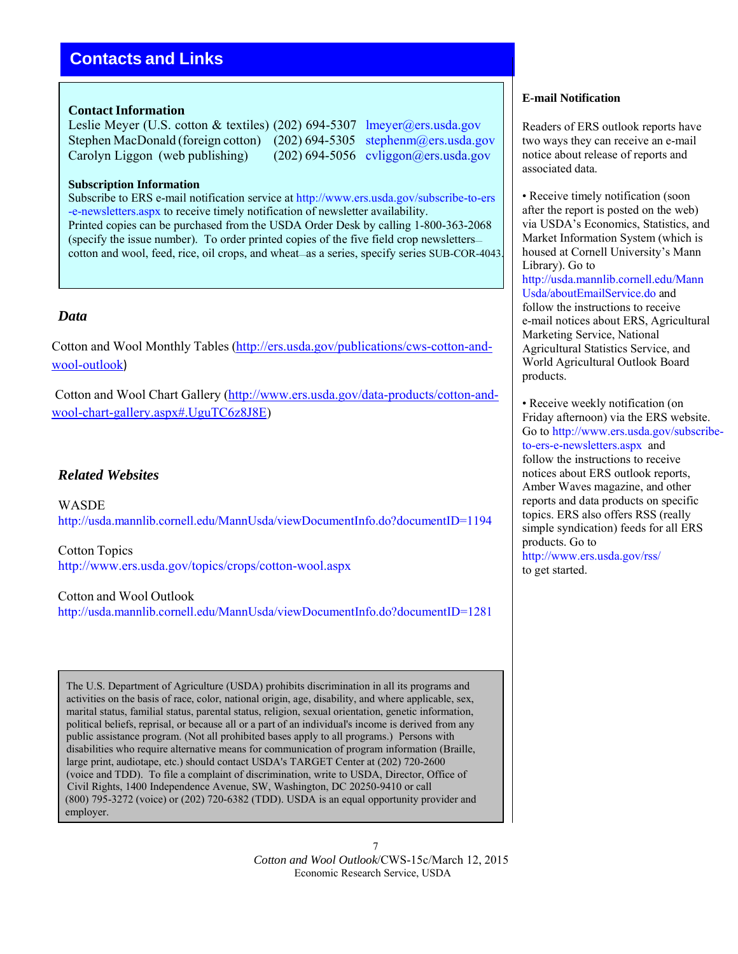# **Contacts and Links**

#### **Contact Information**

Leslie Meyer (U.S. cotton & textiles) (202) 694-5307 lmeyer@ers.usda.gov Stephen MacDonald (foreign cotton) (202) 694-5305 stephenm@ers.usda.gov Carolyn Liggon (web publishing) (202) 694-5056 cyliggon@ers.usda.gov

#### **Subscription Information**

Subscribe to ERS e-mail notification service at http://www.ers.usda.gov/subscribe-to-ers -e-newsletters.aspx to receive timely notification of newsletter availability. Printed copies can be purchased from the USDA Order Desk by calling 1-800-363-2068 (specify the issue number). To order printed copies of the five field crop newsletters cotton and wool, feed, rice, oil crops, and wheat—as a series, specify series SUB-COR-4043.

### *Data*

Cotton and Wool Monthly Tables (http://ers.usda.gov/publications/cws-cotton-andwool-outlook)

Cotton and Wool Chart Gallery (http://www.ers.usda.gov/data-products/cotton-andwool-chart-gallery.aspx#.UguTC6z8J8E)

## *Related Websites*

WASDE http://usda.mannlib.cornell.edu/MannUsda/viewDocumentInfo.do?documentID=1194

Cotton Topics http://www.ers.usda.gov/topics/crops/cotton-wool.aspx

Cotton and Wool Outlook http://usda.mannlib.cornell.edu/MannUsda/viewDocumentInfo.do?documentID=1281

The U.S. Department of Agriculture (USDA) prohibits discrimination in all its programs and activities on the basis of race, color, national origin, age, disability, and where applicable, sex, marital status, familial status, parental status, religion, sexual orientation, genetic information, political beliefs, reprisal, or because all or a part of an individual's income is derived from any public assistance program. (Not all prohibited bases apply to all programs.) Persons with disabilities who require alternative means for communication of program information (Braille, large print, audiotape, etc.) should contact USDA's TARGET Center at (202) 720-2600 (voice and TDD). To file a complaint of discrimination, write to USDA, Director, Office of Civil Rights, 1400 Independence Avenue, SW, Washington, DC 20250-9410 or call (800) 795-3272 (voice) or (202) 720-6382 (TDD). USDA is an equal opportunity provider and employer.

#### **E-mail Notification**

Readers of ERS outlook reports have two ways they can receive an e-mail notice about release of reports and associated data.

• Receive timely notification (soon) after the report is posted on the web) via USDA's Economics, Statistics, and Market Information System (which is housed at Cornell University's Mann Library). Go to http://usda.mannlib.cornell.edu/Mann Usda/aboutEmailService.do and follow the instructions to receive e-mail notices about ERS, Agricultural Marketing Service, National Agricultural Statistics Service, and World Agricultural Outlook Board products.

• Receive weekly notification (on Friday afternoon) via the ERS website. Go to http://www.ers.usda.gov/subscribeto-ers-e-newsletters.aspx and follow the instructions to receive notices about ERS outlook reports, Amber Waves magazine, and other reports and data products on specific topics. ERS also offers RSS (really simple syndication) feeds for all ERS products. Go to http://www.ers.usda.gov/rss/ to get started.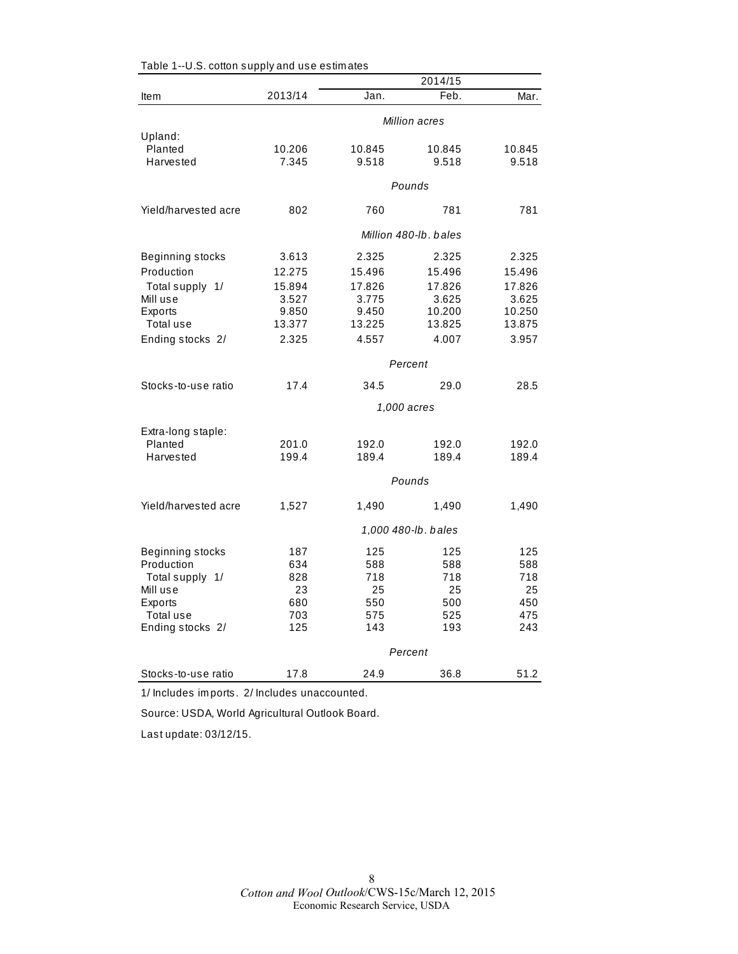|                      | 2014/15               |        |                     |        |  |  |
|----------------------|-----------------------|--------|---------------------|--------|--|--|
| Item                 | 2013/14               | Jan.   | Feb.                | Mar.   |  |  |
|                      | Million acres         |        |                     |        |  |  |
| Upland:              |                       |        |                     |        |  |  |
| Planted              | 10.206                | 10.845 | 10.845              | 10.845 |  |  |
| Harvested            | 7.345                 | 9.518  | 9.518               | 9.518  |  |  |
|                      |                       |        | Pounds              |        |  |  |
| Yield/harvested acre | 802                   | 760    | 781                 | 781    |  |  |
|                      | Million 480-lb, bales |        |                     |        |  |  |
| Beginning stocks     | 3.613                 | 2.325  | 2.325               | 2.325  |  |  |
| Production           | 12.275                | 15.496 | 15.496              | 15.496 |  |  |
| Total supply 1/      | 15.894                | 17.826 | 17.826              | 17.826 |  |  |
| Mill use             | 3.527                 | 3.775  | 3.625               | 3.625  |  |  |
| Exports              | 9.850                 | 9.450  | 10.200              | 10.250 |  |  |
| Total use            | 13.377                | 13.225 | 13.825              | 13.875 |  |  |
| Ending stocks 2/     | 2.325                 | 4.557  | 4.007               | 3.957  |  |  |
|                      | Percent               |        |                     |        |  |  |
| Stocks-to-use ratio  | 17.4                  | 34.5   | 29.0                | 28.5   |  |  |
|                      |                       |        | 1,000 acres         |        |  |  |
| Extra-long staple:   |                       |        |                     |        |  |  |
| Planted              | 201.0                 | 192.0  | 192.0               | 192.0  |  |  |
| Harvested            | 199.4                 | 189.4  | 189.4               | 189.4  |  |  |
|                      |                       |        | Pounds              |        |  |  |
| Yield/harvested acre | 1,527                 | 1,490  | 1,490               | 1,490  |  |  |
|                      |                       |        | 1,000 480-lb. bales |        |  |  |
| Beginning stocks     | 187                   | 125    | 125                 | 125    |  |  |
| Production           | 634                   | 588    | 588                 | 588    |  |  |
| Total supply 1/      | 828                   | 718    | 718                 | 718    |  |  |
| Mill use             | 23                    | 25     | 25                  | 25     |  |  |
| Exports              | 680                   | 550    | 500                 | 450    |  |  |
| Total use            | 703                   | 575    | 525                 | 475    |  |  |
| Ending stocks 2/     | 125                   | 143    | 193                 | 243    |  |  |
|                      |                       |        | Percent             |        |  |  |
| Stocks-to-use ratio  | 17.8                  | 24.9   | 36.8                | 51.2   |  |  |

Table 1--U.S. cotton supply and use estim ates

1/ Includes im ports. 2/ Includes unaccounted.

Source: USDA, World Agricultural Outlook Board.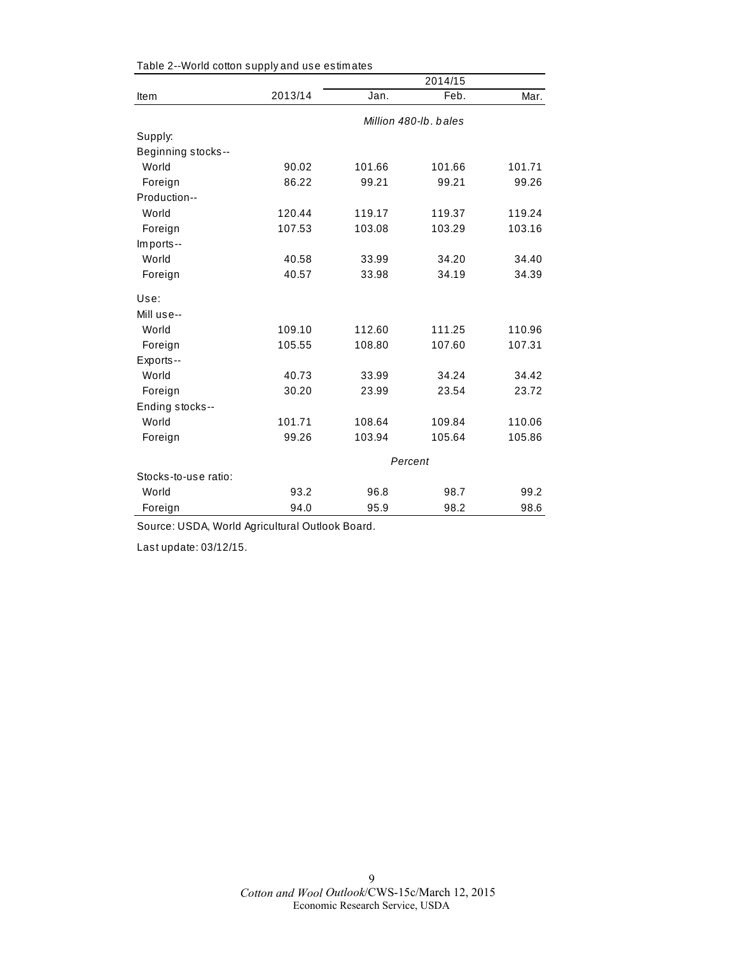|                      |         | 2014/15 |                       |        |  |
|----------------------|---------|---------|-----------------------|--------|--|
| Item                 | 2013/14 | Jan.    | Feb.                  | Mar.   |  |
|                      |         |         | Million 480-lb, bales |        |  |
| Supply:              |         |         |                       |        |  |
| Beginning stocks--   |         |         |                       |        |  |
| World                | 90.02   | 101.66  | 101.66                | 101.71 |  |
| Foreign              | 86.22   | 99.21   | 99.21                 | 99.26  |  |
| Production--         |         |         |                       |        |  |
| World                | 120.44  | 119.17  | 119.37                | 119.24 |  |
| Foreign              | 107.53  | 103.08  | 103.29                | 103.16 |  |
| Imports--            |         |         |                       |        |  |
| World                | 40.58   | 33.99   | 34.20                 | 34.40  |  |
| Foreign              | 40.57   | 33.98   | 34.19                 | 34.39  |  |
| Use:                 |         |         |                       |        |  |
| Mill use--           |         |         |                       |        |  |
| World                | 109.10  | 112.60  | 111.25                | 110.96 |  |
| Foreign              | 105.55  | 108.80  | 107.60                | 107.31 |  |
| Exports--            |         |         |                       |        |  |
| World                | 40.73   | 33.99   | 34.24                 | 34.42  |  |
| Foreign              | 30.20   | 23.99   | 23.54                 | 23.72  |  |
| Ending stocks--      |         |         |                       |        |  |
| World                | 101.71  | 108.64  | 109.84                | 110.06 |  |
| Foreign              | 99.26   | 103.94  | 105.64                | 105.86 |  |
|                      | Percent |         |                       |        |  |
| Stocks-to-use ratio: |         |         |                       |        |  |
| World                | 93.2    | 96.8    | 98.7                  | 99.2   |  |
| Foreign              | 94.0    | 95.9    | 98.2                  | 98.6   |  |

Table 2--World cotton supply and use estim ates

Source: USDA, World Agricultural Outlook Board.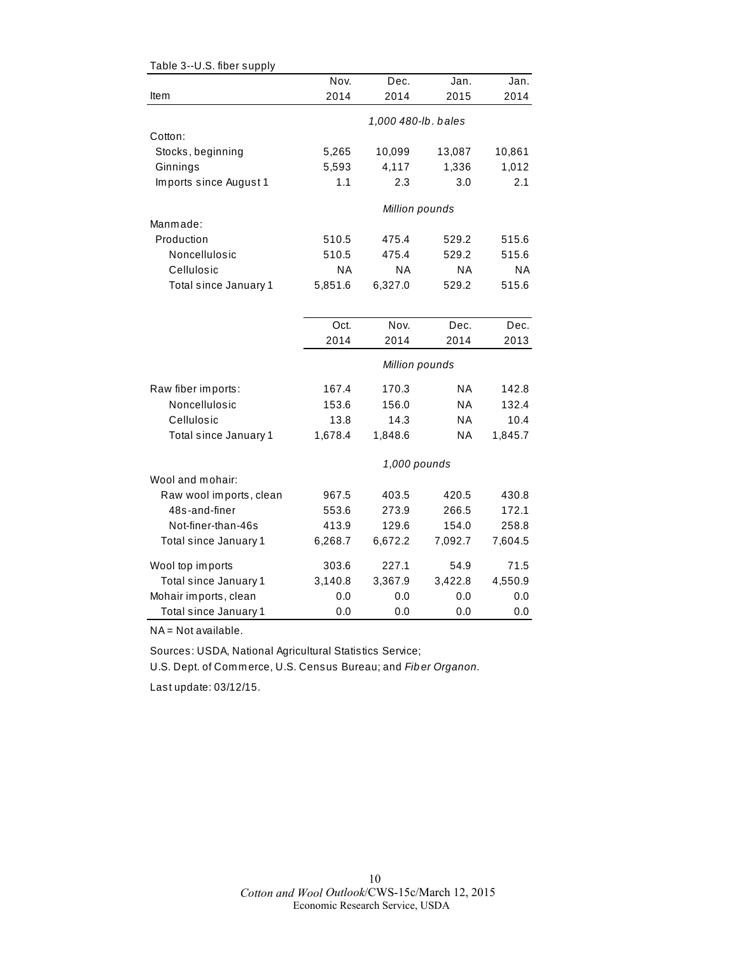| Table 3--U.S. fiber supply |           |                     |           |           |
|----------------------------|-----------|---------------------|-----------|-----------|
|                            | Nov.      | Dec.                | Jan.      | Jan.      |
| Item                       | 2014      | 2014                | 2015      | 2014      |
|                            |           | 1,000 480-lb. bales |           |           |
| Cotton:                    |           |                     |           |           |
| Stocks, beginning          | 5,265     | 10,099              | 13,087    | 10,861    |
| Ginnings                   | 5,593     | 4,117               | 1,336     | 1,012     |
| Imports since August 1     | 1.1       | 2.3                 | 3.0       | 2.1       |
|                            |           | Million pounds      |           |           |
| Manmade:                   |           |                     |           |           |
| Production                 | 510.5     | 475.4               | 529.2     | 515.6     |
| Noncellulosic              | 510.5     | 475.4               | 529.2     | 515.6     |
| Cellulosic                 | <b>NA</b> | <b>NA</b>           | <b>NA</b> | <b>NA</b> |
| Total since January 1      | 5,851.6   | 6,327.0             | 529.2     | 515.6     |
|                            |           |                     |           |           |
|                            | Oct.      | Nov.                | Dec.      | Dec.      |
|                            | 2014      | 2014                | 2014      | 2013      |
|                            |           | Million pounds      |           |           |
| Raw fiber imports:         | 167.4     | 170.3               | ΝA        | 142.8     |
| Noncellulosic              | 153.6     | 156.0               | <b>NA</b> | 132.4     |
| Cellulosic                 | 13.8      | 14.3                | <b>NA</b> | 10.4      |
| Total since January 1      | 1,678.4   | 1,848.6             | <b>NA</b> | 1,845.7   |
|                            |           | 1,000 pounds        |           |           |
| Wool and mohair:           |           |                     |           |           |
| Raw wool imports, clean    | 967.5     | 403.5               | 420.5     | 430.8     |
| 48s-and-finer              | 553.6     | 273.9               | 266.5     | 172.1     |
| Not-finer-than-46s         | 413.9     | 129.6               | 154.0     | 258.8     |
| Total since January 1      | 6,268.7   | 6,672.2             | 7,092.7   | 7,604.5   |
| Wool top imports           | 303.6     | 227.1               | 54.9      | 71.5      |
| Total since January 1      | 3,140.8   | 3,367.9             | 3,422.8   | 4,550.9   |
| Mohair imports, clean      | 0.0       | 0.0                 | 0.0       | 0.0       |
| Total since January 1      | 0.0       | 0.0                 | 0.0       | 0.0       |

NA = Not available.

Sources: USDA, National Agricultural Statistics Service;

U.S. Dept. of Com m erce, U.S. Census Bureau; and *Fib er Organon.*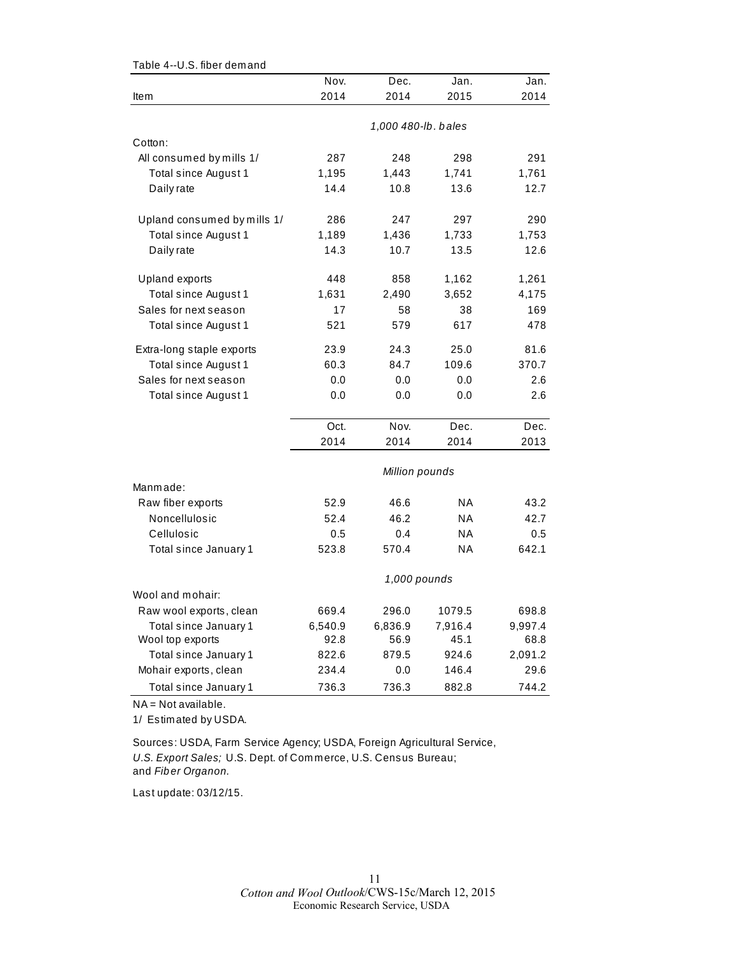| Table 4--U.S. fiber demand                |               |                     |                 |                 |
|-------------------------------------------|---------------|---------------------|-----------------|-----------------|
|                                           | Nov.          | Dec.                | Jan.            | Jan.            |
| <b>Item</b>                               | 2014          | 2014                | 2015            | 2014            |
|                                           |               |                     |                 |                 |
|                                           |               | 1,000 480-lb. bales |                 |                 |
| Cotton:                                   |               |                     |                 |                 |
| All consumed by mills 1/                  | 287           | 248                 | 298             | 291             |
| Total since August 1                      | 1,195         | 1,443               | 1,741           | 1,761           |
| Daily rate                                | 14.4          | 10.8                | 13.6            | 12.7            |
| Upland consumed by mills 1/               | 286           | 247                 | 297             | 290             |
| Total since August 1                      | 1,189         | 1,436               | 1,733           | 1,753           |
| Daily rate                                | 14.3          | 10.7                | 13.5            | 12.6            |
|                                           |               |                     |                 |                 |
| <b>Upland exports</b>                     | 448           | 858                 | 1,162           | 1,261           |
| Total since August 1                      | 1,631         | 2,490               | 3,652           | 4,175           |
| Sales for next season                     | 17            | 58                  | 38              | 169             |
| Total since August 1                      | 521           | 579                 | 617             | 478             |
| Extra-long staple exports                 | 23.9          | 24.3                | 25.0            | 81.6            |
| Total since August 1                      | 60.3          | 84.7                | 109.6           | 370.7           |
| Sales for next season                     | 0.0           | 0.0                 | 0.0             | 2.6             |
| Total since August 1                      | 0.0           | 0.0                 | 0.0             | 2.6             |
|                                           |               |                     |                 |                 |
|                                           | Oct.          | Nov.                | Dec.            | Dec.            |
|                                           | 2014          | 2014                | 2014            | 2013            |
|                                           |               | Million pounds      |                 |                 |
| Manmade:                                  |               |                     |                 |                 |
| Raw fiber exports                         | 52.9          | 46.6                | <b>NA</b>       | 43.2            |
| Noncellulosic                             | 52.4          | 46.2                | <b>NA</b>       | 42.7            |
| Cellulosic                                | 0.5           | 0.4                 | <b>NA</b>       | 0.5             |
| Total since January 1                     | 523.8         | 570.4               | <b>NA</b>       | 642.1           |
|                                           |               |                     |                 |                 |
| Wool and mohair:                          |               | 1,000 pounds        |                 |                 |
|                                           |               |                     |                 |                 |
| Raw wool exports, clean                   | 669.4         | 296.0               | 1079.5          | 698.8           |
| Total since January 1                     | 6,540.9       | 6,836.9             | 7,916.4<br>45.1 | 9,997.4         |
| Wool top exports<br>Total since January 1 | 92.8<br>822.6 | 56.9<br>879.5       | 924.6           | 68.8<br>2,091.2 |
| Mohair exports, clean                     | 234.4         | 0.0                 | 146.4           | 29.6            |
|                                           |               |                     |                 |                 |
| Total since January 1                     | 736.3         | 736.3               | 882.8           | 744.2           |

NA = Not available.

1/ Estim ated by USDA.

Sources: USDA, Farm Service Agency; USDA, Foreign Agricultural Service, *U.S. Export Sales;* U.S. Dept. of Com m erce, U.S. Census Bureau; and *Fib er Organon.*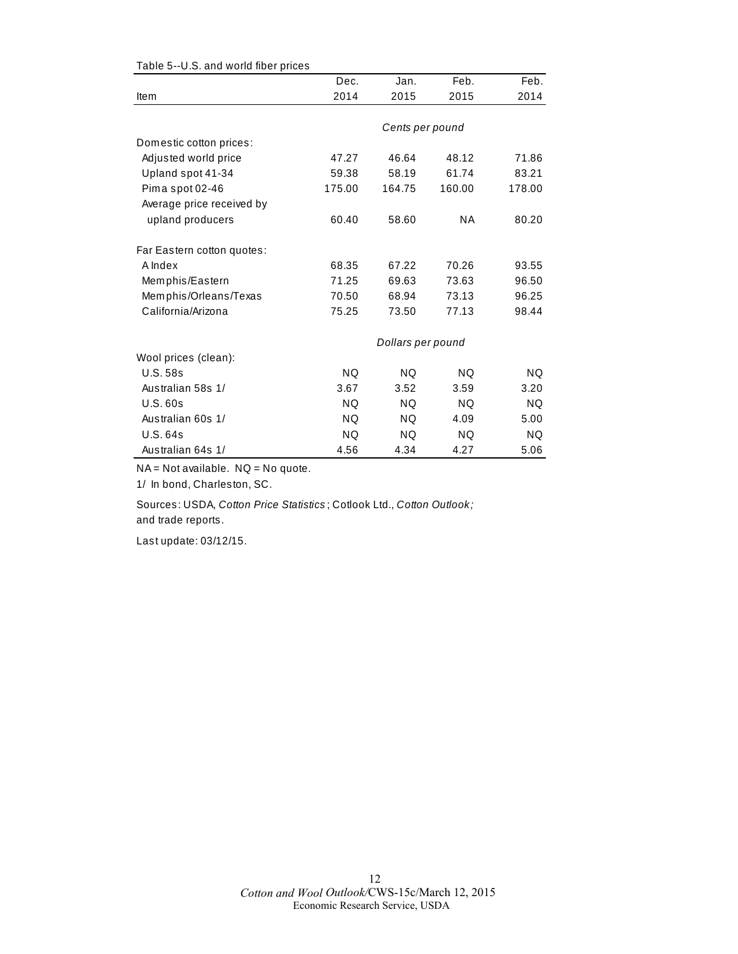|                            | Dec.      | Jan.              | Feb.      | Feb.      |
|----------------------------|-----------|-------------------|-----------|-----------|
|                            |           |                   |           |           |
| Item                       | 2014      | 2015              | 2015      | 2014      |
|                            |           | Cents per pound   |           |           |
| Domestic cotton prices:    |           |                   |           |           |
| Adjusted world price       | 47.27     | 46.64             | 48.12     | 71.86     |
| Upland spot 41-34          | 59.38     | 58.19             | 61.74     | 83.21     |
| Pima spot 02-46            | 175.00    | 164.75            | 160.00    | 178.00    |
| Average price received by  |           |                   |           |           |
| upland producers           | 60.40     | 58.60             | <b>NA</b> | 80.20     |
| Far Eastern cotton quotes: |           |                   |           |           |
| A Index                    | 68.35     | 67.22             | 70.26     | 93.55     |
| Memphis/Eastern            | 71.25     | 69.63             | 73.63     | 96.50     |
| Memphis/Orleans/Texas      | 70.50     | 68.94             | 73.13     | 96.25     |
| California/Arizona         | 75.25     | 73.50             | 77.13     | 98.44     |
|                            |           | Dollars per pound |           |           |
| Wool prices (clean):       |           |                   |           |           |
| <b>U.S. 58s</b>            | NQ.       | <b>NQ</b>         | NQ.       | NQ.       |
| Australian 58s 1/          | 3.67      | 3.52              | 3.59      | 3.20      |
| U.S.60s                    | NQ.       | <b>NQ</b>         | NQ.       | NQ.       |
| Australian 60s 1/          | <b>NQ</b> | <b>NQ</b>         | 4.09      | 5.00      |
| U.S. 64s                   | <b>NQ</b> | NQ.               | NQ.       | <b>NQ</b> |
| Australian 64s 1/          | 4.56      | 4.34              | 4.27      | 5.06      |

#### Table 5--U.S. and world fiber prices

NA = Not available. NQ = No quote.

1/ In bond, Charleston, SC.

Sources: USDA, *Cotton Price Statistics* ; Cotlook Ltd., *Cotton Outlook;*  and trade reports.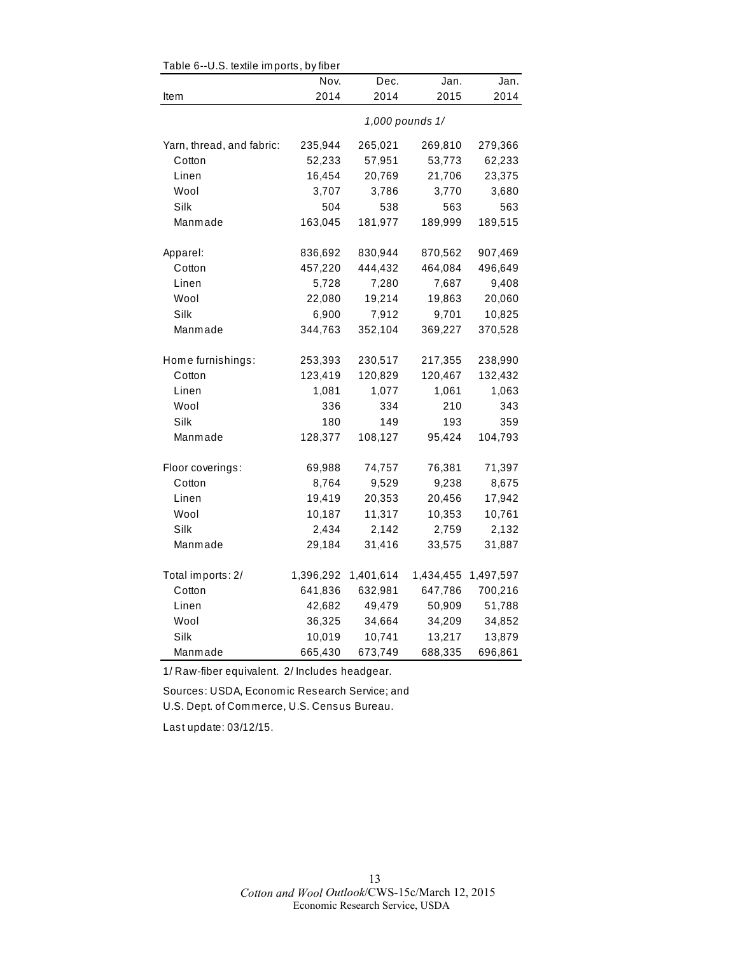|                           | Table 6--U.S. textile imports, by fiber |           |                 |           |  |  |  |  |
|---------------------------|-----------------------------------------|-----------|-----------------|-----------|--|--|--|--|
|                           | Nov.                                    | Dec.      | Jan.            | Jan.      |  |  |  |  |
| ltem                      | 2014                                    | 2014      | 2015            | 2014      |  |  |  |  |
|                           |                                         |           | 1,000 pounds 1/ |           |  |  |  |  |
| Yarn, thread, and fabric: | 235,944                                 | 265,021   | 269,810         | 279,366   |  |  |  |  |
| Cotton                    | 52,233                                  | 57,951    | 53,773          | 62,233    |  |  |  |  |
| Linen                     | 16,454                                  | 20,769    | 21,706          | 23,375    |  |  |  |  |
| Wool                      | 3,707                                   | 3,786     | 3,770           | 3,680     |  |  |  |  |
| Silk                      | 504                                     | 538       | 563             | 563       |  |  |  |  |
| Manmade                   | 163,045                                 | 181,977   | 189,999         | 189,515   |  |  |  |  |
| Apparel:                  | 836,692                                 | 830,944   | 870,562         | 907,469   |  |  |  |  |
| Cotton                    | 457,220                                 | 444,432   | 464,084         | 496,649   |  |  |  |  |
| Linen                     | 5,728                                   | 7,280     | 7,687           | 9,408     |  |  |  |  |
| Wool                      | 22,080                                  | 19,214    | 19,863          | 20,060    |  |  |  |  |
| Silk                      | 6,900                                   | 7,912     | 9,701           | 10,825    |  |  |  |  |
| Manmade                   | 344,763                                 | 352,104   | 369,227         | 370,528   |  |  |  |  |
| Home furnishings:         | 253,393                                 | 230,517   | 217,355         | 238,990   |  |  |  |  |
| Cotton                    | 123,419                                 | 120,829   | 120,467         | 132,432   |  |  |  |  |
| Linen                     | 1,081                                   | 1,077     | 1,061           | 1,063     |  |  |  |  |
| Wool                      | 336                                     | 334       | 210             | 343       |  |  |  |  |
| Silk                      | 180                                     | 149       | 193             | 359       |  |  |  |  |
| Manmade                   | 128,377                                 | 108,127   | 95,424          | 104,793   |  |  |  |  |
| Floor coverings:          | 69,988                                  | 74,757    | 76,381          | 71,397    |  |  |  |  |
| Cotton                    | 8,764                                   | 9,529     | 9,238           | 8,675     |  |  |  |  |
| Linen                     | 19,419                                  | 20,353    | 20,456          | 17,942    |  |  |  |  |
| Wool                      | 10,187                                  | 11,317    | 10,353          | 10,761    |  |  |  |  |
| Silk                      | 2,434                                   | 2,142     | 2,759           | 2,132     |  |  |  |  |
| Manmade                   | 29,184                                  | 31,416    | 33,575          | 31,887    |  |  |  |  |
| Total imports: 2/         | 1,396,292                               | 1,401,614 | 1,434,455       | 1,497,597 |  |  |  |  |
| Cotton                    | 641,836                                 | 632,981   | 647,786         | 700,216   |  |  |  |  |
| Linen                     | 42,682                                  | 49,479    | 50,909          | 51,788    |  |  |  |  |
| Wool                      | 36,325                                  | 34,664    | 34,209          | 34,852    |  |  |  |  |
| Silk                      | 10,019                                  | 10,741    | 13,217          | 13,879    |  |  |  |  |
| Manmade                   | 665,430                                 | 673,749   | 688,335         | 696,861   |  |  |  |  |

 $Table 6-11$ S. textile imports, by fib

1/ Raw-fiber equivalent. 2/ Includes headgear.

Sources: USDA, Econom ic Research Service; and U.S. Dept. of Com m erce, U.S. Census Bureau.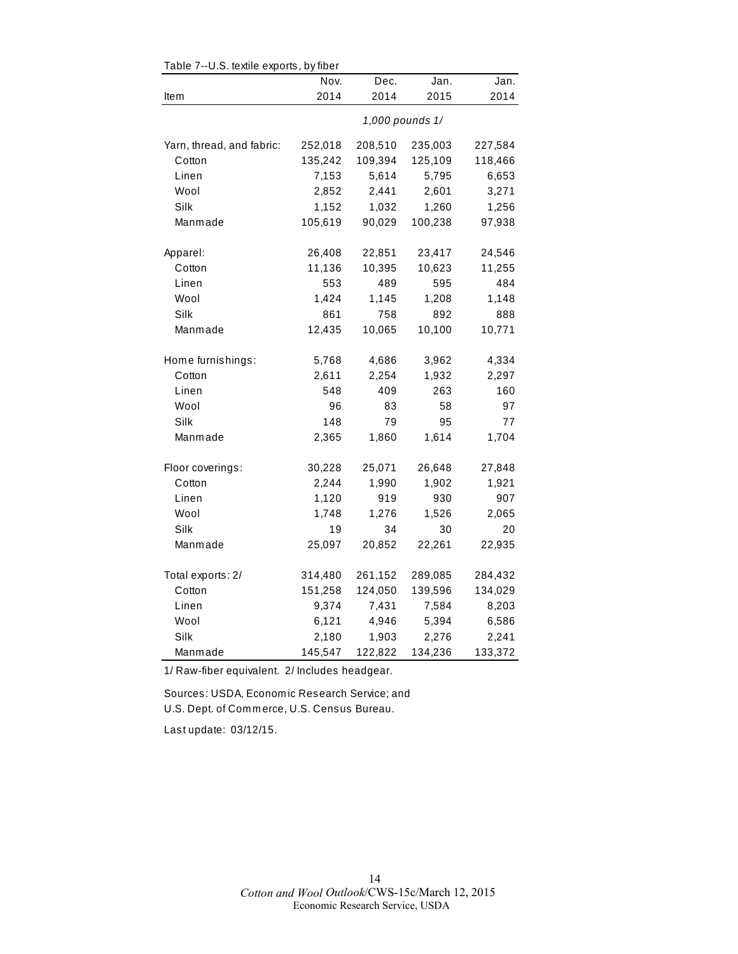| rable $r$ --0.5. lexule exports, by liber |         |         |                 |         |
|-------------------------------------------|---------|---------|-----------------|---------|
|                                           | Nov.    | Dec.    | Jan.            | Jan.    |
| Item                                      | 2014    | 2014    | 2015            | 2014    |
|                                           |         |         | 1,000 pounds 1/ |         |
| Yarn, thread, and fabric:                 | 252,018 | 208,510 | 235,003         | 227,584 |
| Cotton                                    | 135,242 | 109,394 | 125,109         | 118,466 |
| Linen                                     | 7,153   | 5,614   | 5,795           | 6,653   |
| Wool                                      | 2,852   | 2,441   | 2,601           | 3,271   |
| Silk                                      | 1,152   | 1,032   | 1,260           | 1,256   |
| Manmade                                   | 105,619 | 90,029  | 100,238         | 97,938  |
|                                           |         |         |                 |         |
| Apparel:                                  | 26,408  | 22,851  | 23,417          | 24,546  |
| Cotton                                    | 11,136  | 10,395  | 10,623          | 11,255  |
| Linen                                     | 553     | 489     | 595             | 484     |
| Wool                                      | 1,424   | 1,145   | 1,208           | 1,148   |
| Silk                                      | 861     | 758     | 892             | 888     |
| Manmade                                   | 12,435  | 10,065  | 10,100          | 10,771  |
| Home furnishings:                         | 5,768   | 4,686   | 3,962           | 4,334   |
| Cotton                                    | 2,611   | 2,254   | 1,932           | 2,297   |
| Linen                                     | 548     | 409     | 263             | 160     |
| Wool                                      | 96      | 83      | 58              | 97      |
| Silk                                      | 148     | 79      | 95              | 77      |
| Manmade                                   | 2,365   | 1,860   | 1,614           | 1,704   |
|                                           |         |         |                 |         |
| Floor coverings:                          | 30,228  | 25,071  | 26,648          | 27,848  |
| Cotton                                    | 2,244   | 1,990   | 1,902           | 1,921   |
| Linen                                     | 1,120   | 919     | 930             | 907     |
| Wool                                      | 1,748   | 1,276   | 1,526           | 2,065   |
| Silk                                      | 19      | 34      | 30              | 20      |
| Manmade                                   | 25,097  | 20,852  | 22,261          | 22,935  |
| Total exports: 2/                         | 314,480 | 261,152 | 289,085         | 284,432 |
| Cotton                                    | 151,258 | 124,050 | 139,596         | 134,029 |
| Linen                                     | 9,374   | 7,431   | 7,584           | 8,203   |
| Wool                                      | 6,121   | 4,946   | 5,394           | 6,586   |
| Silk                                      | 2,180   | 1,903   | 2,276           | 2,241   |
| Manmade                                   | 145,547 | 122,822 | 134,236         | 133,372 |

Table 7--U.S. textile exports, by fiber

1/ Raw-fiber equivalent. 2/ Includes headgear.

Sources: USDA, Econom ic Research Service; and U.S. Dept. of Com m erce, U.S. Census Bureau.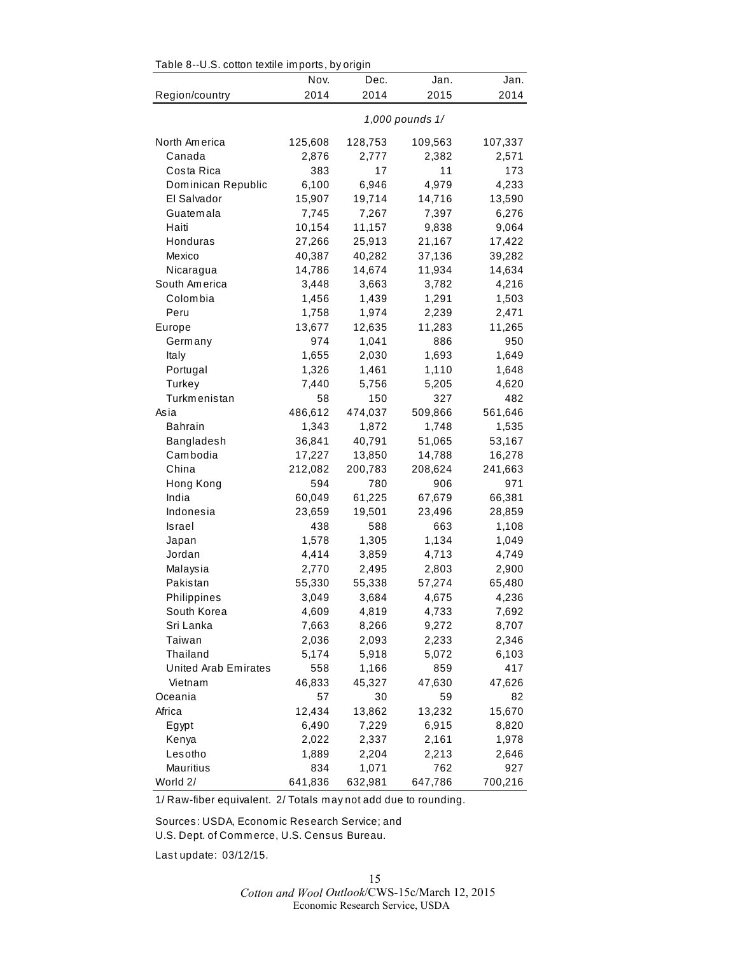| Table 8--U.S. cotton textile imports, by origin |         |         |                 |         |  |  |  |
|-------------------------------------------------|---------|---------|-----------------|---------|--|--|--|
|                                                 | Nov.    | Dec.    | Jan.            | Jan.    |  |  |  |
| Region/country                                  | 2014    | 2014    | 2015            | 2014    |  |  |  |
|                                                 |         |         | 1,000 pounds 1/ |         |  |  |  |
| North America                                   | 125,608 | 128,753 | 109,563         | 107,337 |  |  |  |
| Canada                                          | 2,876   | 2,777   | 2,382           | 2,571   |  |  |  |
| Costa Rica                                      | 383     | 17      | 11              | 173     |  |  |  |
| Dominican Republic                              | 6,100   | 6,946   | 4,979           | 4,233   |  |  |  |
| El Salvador                                     | 15,907  | 19,714  | 14,716          | 13,590  |  |  |  |
| Guatemala                                       | 7,745   | 7,267   | 7,397           | 6,276   |  |  |  |
| Haiti                                           | 10,154  | 11,157  | 9,838           | 9,064   |  |  |  |
| Honduras                                        | 27,266  | 25,913  | 21,167          | 17,422  |  |  |  |
| Mexico                                          | 40,387  | 40,282  | 37,136          | 39,282  |  |  |  |
| Nicaragua                                       | 14,786  | 14,674  | 11,934          | 14,634  |  |  |  |
| South America                                   | 3,448   | 3,663   | 3,782           | 4,216   |  |  |  |
| Colombia                                        | 1,456   | 1,439   | 1,291           | 1,503   |  |  |  |
| Peru                                            | 1,758   | 1,974   | 2,239           | 2,471   |  |  |  |
| Europe                                          | 13,677  | 12,635  | 11,283          | 11,265  |  |  |  |
| Germany                                         | 974     | 1,041   | 886             | 950     |  |  |  |
| Italy                                           | 1,655   | 2,030   | 1,693           | 1,649   |  |  |  |
| Portugal                                        | 1,326   | 1,461   | 1,110           | 1,648   |  |  |  |
| Turkey                                          | 7,440   | 5,756   | 5,205           | 4,620   |  |  |  |
| Turkmenistan                                    | 58      | 150     | 327             | 482     |  |  |  |
| Asia                                            | 486,612 | 474,037 | 509,866         | 561,646 |  |  |  |
| Bahrain                                         | 1,343   | 1,872   | 1,748           | 1,535   |  |  |  |
| Bangladesh                                      | 36,841  | 40,791  | 51,065          | 53,167  |  |  |  |
| Cambodia                                        | 17,227  | 13,850  | 14,788          | 16,278  |  |  |  |
| China                                           | 212,082 | 200,783 | 208,624         | 241,663 |  |  |  |
| Hong Kong                                       | 594     | 780     | 906             | 971     |  |  |  |
| India                                           | 60,049  | 61,225  | 67,679          | 66,381  |  |  |  |
| Indonesia                                       | 23,659  | 19,501  | 23,496          | 28,859  |  |  |  |
| <b>Israel</b>                                   | 438     | 588     | 663             | 1,108   |  |  |  |
| Japan                                           | 1,578   | 1,305   | 1,134           | 1,049   |  |  |  |
| Jordan                                          | 4,414   | 3,859   | 4,713           | 4,749   |  |  |  |
| Malaysia                                        | 2,770   | 2,495   | 2,803           | 2,900   |  |  |  |
| Pakistan                                        | 55,330  | 55,338  | 57,274          | 65,480  |  |  |  |
| Philippines                                     | 3,049   | 3,684   | 4,675           | 4,236   |  |  |  |
| South Korea                                     | 4,609   | 4,819   | 4,733           | 7,692   |  |  |  |
| Sri Lanka                                       | 7,663   | 8,266   | 9,272           | 8,707   |  |  |  |
| Taiwan                                          | 2,036   | 2,093   | 2,233           | 2,346   |  |  |  |
| Thailand                                        | 5,174   | 5,918   | 5,072           | 6,103   |  |  |  |
| United Arab Emirates                            | 558     | 1,166   | 859             | 417     |  |  |  |
| Vietnam                                         | 46,833  | 45,327  | 47,630          | 47,626  |  |  |  |
| Oceania                                         | 57      | 30      | 59              | 82      |  |  |  |
| Africa                                          | 12,434  | 13,862  | 13,232          | 15,670  |  |  |  |
| Egypt                                           | 6,490   | 7,229   | 6,915           | 8,820   |  |  |  |
| Kenya                                           | 2,022   | 2,337   | 2,161           | 1,978   |  |  |  |
| Lesotho                                         | 1,889   | 2,204   | 2,213           | 2,646   |  |  |  |
| Mauritius                                       | 834     | 1,071   | 762             | 927     |  |  |  |
| World 2/                                        | 641,836 | 632,981 | 647,786         | 700,216 |  |  |  |

 $\Delta$   $\sim$   $\mu$   $\sim$   $\mu$   $\sim$  cotton to the imports, by original

1/ Raw-fiber equivalent. 2/ Totals m ay not add due to rounding.

Sources: USDA, Economic Research Service; and U.S. Dept. of Com m erce, U.S. Census Bureau.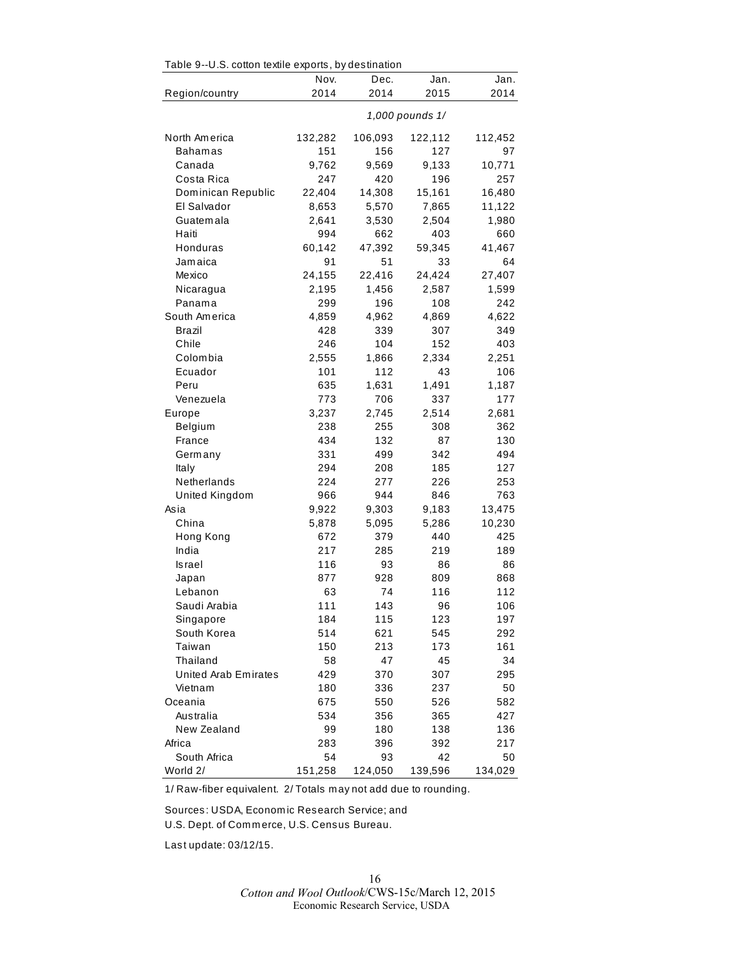| Table 9--U.S. cotton textile exports, by destination |         |         |                 |         |
|------------------------------------------------------|---------|---------|-----------------|---------|
|                                                      | Nov.    | Dec.    | Jan.            | Jan.    |
| Region/country                                       | 2014    | 2014    | 2015            | 2014    |
|                                                      |         |         | 1,000 pounds 1/ |         |
| North America                                        | 132,282 | 106,093 | 122,112         | 112,452 |
| Bahamas                                              | 151     | 156     | 127             | 97      |
| Canada                                               | 9,762   | 9,569   | 9,133           | 10,771  |
| Costa Rica                                           | 247     | 420     | 196             | 257     |
| Dominican Republic                                   | 22,404  | 14,308  | 15,161          | 16,480  |
| El Salvador                                          | 8,653   | 5,570   | 7,865           | 11,122  |
| Guatemala                                            | 2,641   | 3,530   | 2,504           | 1,980   |
| Haiti                                                | 994     | 662     | 403             | 660     |
| Honduras                                             | 60,142  | 47,392  | 59,345          | 41,467  |
| Jamaica                                              | 91      | 51      | 33              | 64      |
| Mexico                                               | 24,155  | 22,416  | 24,424          | 27,407  |
| Nicaragua                                            | 2,195   | 1,456   | 2,587           | 1,599   |
| Panama                                               | 299     | 196     | 108             | 242     |
| South America                                        | 4,859   | 4,962   | 4,869           | 4,622   |
| Brazil                                               | 428     | 339     | 307             | 349     |
| Chile                                                | 246     | 104     | 152             | 403     |
| Colombia                                             | 2,555   | 1,866   | 2,334           | 2,251   |
| Ecuador                                              | 101     | 112     | 43              | 106     |
| Peru                                                 | 635     | 1,631   | 1,491           | 1,187   |
| Venezuela                                            | 773     | 706     | 337             | 177     |
| Europe                                               | 3,237   | 2,745   | 2,514           | 2,681   |
| Belgium                                              | 238     | 255     | 308             | 362     |
| France                                               | 434     | 132     | 87              | 130     |
| Germany                                              | 331     | 499     | 342             | 494     |
| Italy                                                | 294     | 208     | 185             | 127     |
| Netherlands                                          | 224     | 277     | 226             | 253     |
| United Kingdom                                       | 966     | 944     | 846             | 763     |
| Asia                                                 | 9,922   | 9,303   | 9,183           | 13,475  |
| China                                                | 5,878   | 5,095   | 5,286           | 10,230  |
| Hong Kong                                            | 672     | 379     | 440             | 425     |
| India                                                | 217     | 285     | 219             | 189     |
| Israel                                               | 116     | 93      | 86              | 86      |
| Japan                                                | 877     | 928     | 809             | 868     |
| Lebanon                                              | 63      | 74      | 116             | 112     |
| Saudi Arabia                                         | 111     | 143     | 96              | 106     |
| Singapore                                            | 184     | 115     | 123             | 197     |
| South Korea                                          | 514     | 621     | 545             | 292     |
| Taiwan                                               | 150     | 213     | 173             | 161     |
| Thailand                                             | 58      | 47      | 45              | 34      |
| United Arab Emirates                                 | 429     | 370     | 307             | 295     |
| Vietnam                                              | 180     | 336     | 237             | 50      |
| Oceania                                              | 675     | 550     | 526             | 582     |
| Australia                                            | 534     | 356     | 365             | 427     |
| New Zealand                                          | 99      | 180     | 138             | 136     |
| Africa                                               | 283     | 396     | 392             | 217     |
| South Africa                                         | 54      | 93      | 42              | 50      |
| World 2/                                             | 151,258 | 124,050 | 139,596         | 134,029 |

 $Table 9-11$  S, cotton textile experts, by destination

1/ Raw-fiber equivalent. 2/ Totals m ay not add due to rounding.

Sources: USDA, Economic Research Service; and U.S. Dept. of Com m erce, U.S. Census Bureau.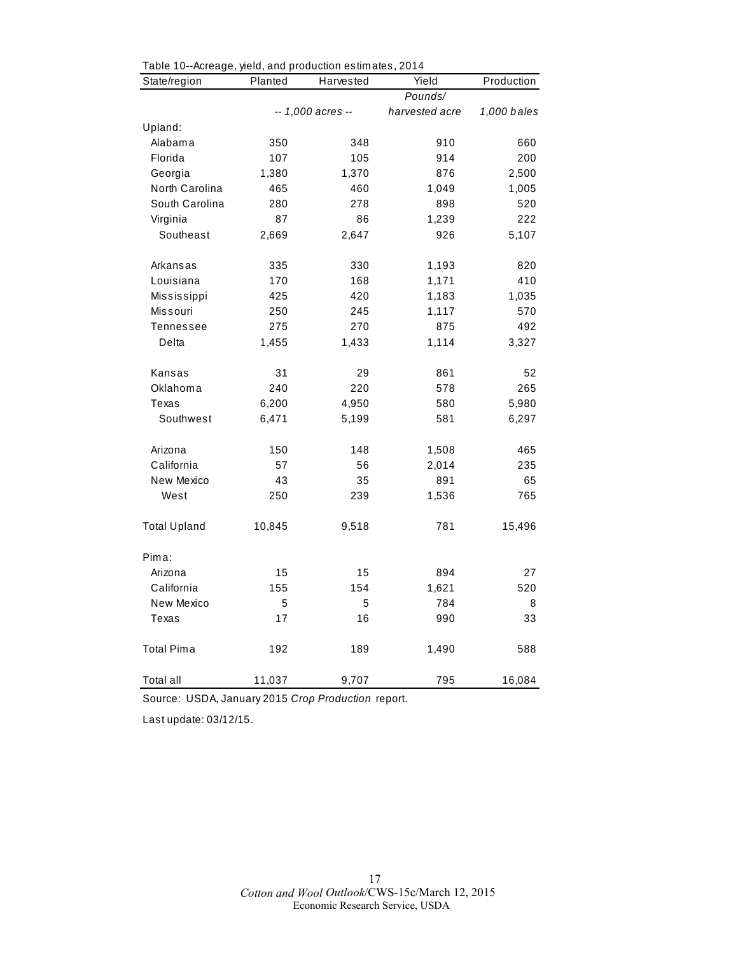| rable To-Acreage, yield, and production estimates, 2014<br>State/region | Planted | Yield             | Production     |             |
|-------------------------------------------------------------------------|---------|-------------------|----------------|-------------|
|                                                                         |         | Harvested         | Pounds/        |             |
|                                                                         |         | -- 1,000 acres -- | harvested acre | 1,000 bales |
| Upland:                                                                 |         |                   |                |             |
| Alabama                                                                 | 350     | 348               | 910            | 660         |
| Florida                                                                 | 107     | 105               | 914            | 200         |
| Georgia                                                                 | 1,380   | 1,370             | 876            | 2,500       |
| North Carolina                                                          | 465     | 460               | 1,049          | 1,005       |
| South Carolina                                                          | 280     | 278               | 898            | 520         |
| Virginia                                                                | 87      | 86                | 1,239          | 222         |
| Southeast                                                               | 2,669   | 2,647             | 926            | 5,107       |
| Arkansas                                                                | 335     | 330               | 1,193          | 820         |
| Louisiana                                                               | 170     | 168               | 1,171          | 410         |
| Mississippi                                                             | 425     | 420               | 1,183          | 1,035       |
| Missouri                                                                | 250     | 245               | 1,117          | 570         |
| Tennessee                                                               | 275     | 270               | 875            | 492         |
| Delta                                                                   | 1,455   | 1,433             | 1,114          | 3,327       |
| Kansas                                                                  | 31      | 29                | 861            | 52          |
| Oklahoma                                                                | 240     | 220               | 578            | 265         |
| Texas                                                                   | 6,200   | 4,950             | 580            | 5,980       |
| Southwest                                                               | 6,471   | 5,199             | 581            | 6,297       |
| Arizona                                                                 | 150     | 148               | 1,508          | 465         |
| California                                                              | 57      | 56                | 2,014          | 235         |
| New Mexico                                                              | 43      | 35                | 891            | 65          |
| West                                                                    | 250     | 239               | 1,536          | 765         |
| <b>Total Upland</b>                                                     | 10,845  | 9,518             | 781            | 15,496      |
| Pima:                                                                   |         |                   |                |             |
| Arizona                                                                 | 15      | 15                | 894            | 27          |
| California                                                              | 155     | 154               | 1,621          | 520         |
| New Mexico                                                              | 5       | 5                 | 784            | 8           |
| Texas                                                                   | 17      | 16                | 990            | 33          |
| <b>Total Pima</b>                                                       | 192     | 189               | 1,490          | 588         |
| Total all                                                               | 11,037  | 9,707             | 795            | 16,084      |

Table 10--Acreage, yield, and production estim ates, 2014

Source: USDA, January 2015 *Crop Production* report.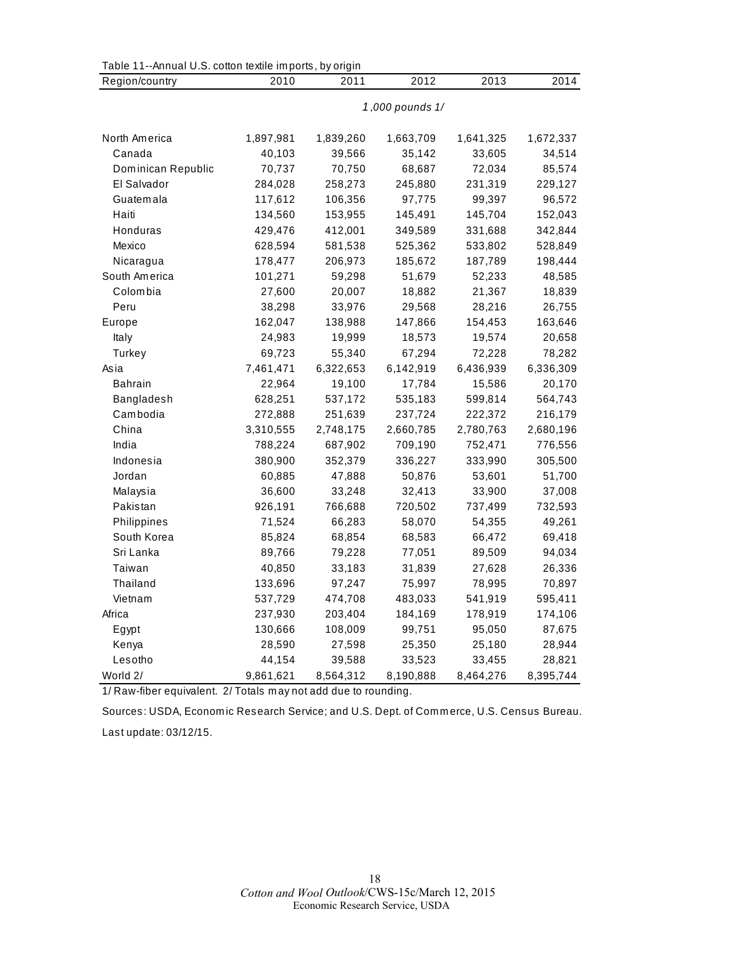| Table 11--Annual U.S. cotton textile imports, by origin<br>Region/country | 2010      | 2011      | 2012            | 2013      | 2014      |
|---------------------------------------------------------------------------|-----------|-----------|-----------------|-----------|-----------|
|                                                                           |           |           |                 |           |           |
|                                                                           |           |           | 1,000 pounds 1/ |           |           |
| North America                                                             | 1,897,981 | 1,839,260 | 1,663,709       | 1,641,325 | 1,672,337 |
| Canada                                                                    | 40,103    | 39,566    | 35,142          | 33,605    | 34,514    |
| Dominican Republic                                                        | 70,737    | 70,750    | 68,687          | 72,034    | 85,574    |
| El Salvador                                                               | 284,028   | 258,273   | 245,880         | 231,319   | 229,127   |
| Guatemala                                                                 | 117,612   | 106,356   | 97,775          | 99,397    | 96,572    |
| Haiti                                                                     | 134,560   | 153,955   | 145,491         | 145,704   | 152,043   |
| Honduras                                                                  | 429,476   | 412,001   | 349,589         | 331,688   | 342,844   |
| Mexico                                                                    | 628,594   | 581,538   | 525,362         | 533,802   | 528,849   |
| Nicaragua                                                                 | 178,477   | 206,973   | 185,672         | 187,789   | 198,444   |
| South America                                                             | 101,271   | 59,298    | 51,679          | 52,233    | 48,585    |
| Colombia                                                                  | 27,600    | 20,007    | 18,882          | 21,367    | 18,839    |
| Peru                                                                      | 38,298    | 33,976    | 29,568          | 28,216    | 26,755    |
| Europe                                                                    | 162,047   | 138,988   | 147,866         | 154,453   | 163,646   |
| Italy                                                                     | 24,983    | 19,999    | 18,573          | 19,574    | 20,658    |
| Turkey                                                                    | 69,723    | 55,340    | 67,294          | 72,228    | 78,282    |
| Asia                                                                      | 7,461,471 | 6,322,653 | 6,142,919       | 6,436,939 | 6,336,309 |
| <b>Bahrain</b>                                                            | 22,964    | 19,100    | 17,784          | 15,586    | 20,170    |
| Bangladesh                                                                | 628,251   | 537,172   | 535,183         | 599,814   | 564,743   |
| Cambodia                                                                  | 272,888   | 251,639   | 237,724         | 222,372   | 216,179   |
| China                                                                     | 3,310,555 | 2,748,175 | 2,660,785       | 2,780,763 | 2,680,196 |
| India                                                                     | 788,224   | 687,902   | 709,190         | 752,471   | 776,556   |
| Indonesia                                                                 | 380,900   | 352,379   | 336,227         | 333,990   | 305,500   |
| Jordan                                                                    | 60,885    | 47,888    | 50,876          | 53,601    | 51,700    |
| Malaysia                                                                  | 36,600    | 33,248    | 32,413          | 33,900    | 37,008    |
| Pakistan                                                                  | 926,191   | 766,688   | 720,502         | 737,499   | 732,593   |
| Philippines                                                               | 71,524    | 66,283    | 58,070          | 54,355    | 49,261    |
| South Korea                                                               | 85,824    | 68,854    | 68,583          | 66,472    | 69,418    |
| Sri Lanka                                                                 | 89,766    | 79,228    | 77,051          | 89,509    | 94,034    |
| Taiwan                                                                    | 40,850    | 33,183    | 31,839          | 27,628    | 26,336    |
| Thailand                                                                  | 133,696   | 97,247    | 75,997          | 78,995    | 70,897    |
| Vietnam                                                                   | 537,729   | 474,708   | 483,033         | 541,919   | 595,411   |
| Africa                                                                    | 237,930   | 203,404   | 184,169         | 178,919   | 174,106   |
| Egypt                                                                     | 130,666   | 108,009   | 99,751          | 95,050    | 87,675    |
| Kenya                                                                     | 28,590    | 27,598    | 25,350          | 25,180    | 28,944    |
| Lesotho                                                                   | 44,154    | 39,588    | 33,523          | 33,455    | 28,821    |
| World 2/                                                                  | 9,861,621 | 8,564,312 | 8,190,888       | 8,464,276 | 8,395,744 |

1/ Raw-fiber equivalent. 2/ Totals m ay not add due to rounding.

Sources: USDA, Econom ic Research Service; and U.S. Dept. of Com m erce, U.S. Census Bureau.